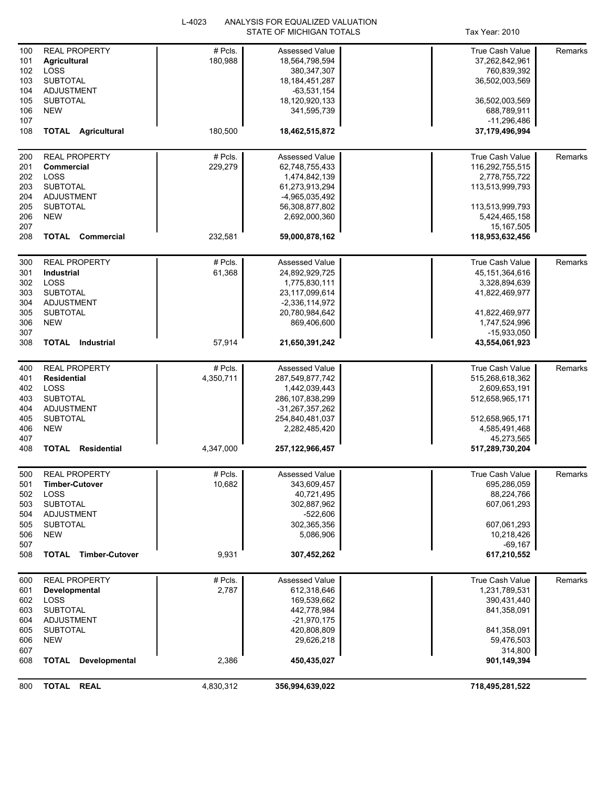|            |                                    | L-4023    | ANALYSIS FOR EQUALIZED VALUATION |                             |         |
|------------|------------------------------------|-----------|----------------------------------|-----------------------------|---------|
|            |                                    |           | STATE OF MICHIGAN TOTALS         | Tax Year: 2010              |         |
| 100        | <b>REAL PROPERTY</b>               | # Pcls.   | <b>Assessed Value</b>            | <b>True Cash Value</b>      | Remarks |
| 101        | <b>Agricultural</b>                | 180,988   | 18,564,798,594                   | 37,262,842,961              |         |
| 102        | LOSS                               |           | 380, 347, 307                    | 760,839,392                 |         |
| 103        | <b>SUBTOTAL</b>                    |           | 18, 184, 451, 287                | 36,502,003,569              |         |
| 104        | <b>ADJUSTMENT</b>                  |           | $-63,531,154$                    |                             |         |
| 105        | <b>SUBTOTAL</b>                    |           | 18,120,920,133                   | 36,502,003,569              |         |
| 106        | <b>NEW</b>                         |           | 341,595,739                      | 688,789,911                 |         |
| 107        |                                    |           |                                  | -11,296,486                 |         |
| 108        | <b>TOTAL Agricultural</b>          | 180,500   | 18,462,515,872                   | 37,179,496,994              |         |
|            |                                    |           |                                  |                             |         |
| 200        | <b>REAL PROPERTY</b>               | #Pcls.    | Assessed Value                   | True Cash Value             | Remarks |
| 201        | Commercial                         | 229,279   | 62,748,755,433                   | 116,292,755,515             |         |
| 202        | LOSS                               |           | 1,474,842,139                    | 2,778,755,722               |         |
| 203        | <b>SUBTOTAL</b>                    |           | 61,273,913,294                   | 113,513,999,793             |         |
| 204        | <b>ADJUSTMENT</b>                  |           | -4,965,035,492                   |                             |         |
| 205        | <b>SUBTOTAL</b>                    |           | 56,308,877,802                   | 113,513,999,793             |         |
| 206        | <b>NEW</b>                         |           | 2,692,000,360                    | 5,424,465,158<br>15,167,505 |         |
| 207<br>208 | <b>TOTAL</b><br>Commercial         | 232,581   | 59,000,878,162                   | 118,953,632,456             |         |
|            |                                    |           |                                  |                             |         |
| 300        | <b>REAL PROPERTY</b>               | # Pcls.   | Assessed Value                   | True Cash Value             | Remarks |
| 301        | Industrial                         | 61,368    | 24,892,929,725                   | 45, 151, 364, 616           |         |
| 302        | LOSS                               |           | 1,775,830,111                    | 3,328,894,639               |         |
| 303        | <b>SUBTOTAL</b>                    |           | 23,117,099,614                   | 41,822,469,977              |         |
| 304        | ADJUSTMENT                         |           | $-2,336,114,972$                 |                             |         |
| 305        | <b>SUBTOTAL</b>                    |           | 20,780,984,642                   | 41,822,469,977              |         |
| 306        | <b>NEW</b>                         |           | 869,406,600                      | 1,747,524,996               |         |
| 307        |                                    |           |                                  | $-15,933,050$               |         |
| 308        | <b>TOTAL</b> Industrial            | 57,914    | 21,650,391,242                   | 43,554,061,923              |         |
| 400        | <b>REAL PROPERTY</b>               | # Pcls.   | Assessed Value                   | True Cash Value             | Remarks |
| 401        | <b>Residential</b>                 | 4,350,711 | 287,549,877,742                  | 515,268,618,362             |         |
| 402        | LOSS                               |           | 1,442,039,443                    | 2,609,653,191               |         |
| 403        | <b>SUBTOTAL</b>                    |           | 286, 107, 838, 299               | 512,658,965,171             |         |
| 404        | <b>ADJUSTMENT</b>                  |           | -31,267,357,262                  |                             |         |
| 405        | <b>SUBTOTAL</b>                    |           | 254,840,481,037                  | 512,658,965,171             |         |
| 406        | <b>NEW</b>                         |           | 2,282,485,420                    | 4,585,491,468               |         |
| 407        |                                    |           |                                  | 45,273,565                  |         |
| 408        | <b>TOTAL</b><br><b>Residential</b> | 4,347,000 | 257,122,966,457                  | 517,289,730,204             |         |
|            | <b>REAL PROPERTY</b>               | # Pcls.   | <b>Assessed Value</b>            | True Cash Value             |         |
| 500<br>501 | <b>Timber-Cutover</b>              | 10,682    |                                  |                             | Remarks |
| 502        | LOSS                               |           | 343,609,457<br>40,721,495        | 695,286,059<br>88,224,766   |         |
| 503        | <b>SUBTOTAL</b>                    |           | 302,887,962                      | 607,061,293                 |         |
| 504        | ADJUSTMENT                         |           | -522,606                         |                             |         |
| 505        | <b>SUBTOTAL</b>                    |           | 302,365,356                      | 607,061,293                 |         |
| 506        | <b>NEW</b>                         |           | 5,086,906                        | 10,218,426                  |         |
| 507        |                                    |           |                                  | $-69,167$                   |         |
| 508        | <b>TOTAL Timber-Cutover</b>        | 9,931     | 307,452,262                      | 617,210,552                 |         |
|            |                                    |           |                                  |                             |         |
| 600        | <b>REAL PROPERTY</b>               | # Pcls.   | Assessed Value                   | True Cash Value             | Remarks |
| 601        | Developmental                      | 2,787     | 612,318,646                      | 1,231,789,531               |         |
| 602        | LOSS                               |           | 169,539,662                      | 390,431,440                 |         |
| 603<br>604 | <b>SUBTOTAL</b><br>ADJUSTMENT      |           | 442,778,984<br>$-21,970,175$     | 841,358,091                 |         |
| 605        | <b>SUBTOTAL</b>                    |           | 420,808,809                      | 841,358,091                 |         |
| 606        | <b>NEW</b>                         |           | 29,626,218                       | 59,476,503                  |         |
| 607        |                                    |           |                                  | 314,800                     |         |
| 608        | <b>TOTAL</b><br>Developmental      | 2,386     | 450,435,027                      | 901,149,394                 |         |
|            |                                    |           |                                  |                             |         |
| 800        | TOTAL REAL                         | 4,830,312 | 356,994,639,022                  | 718,495,281,522             |         |